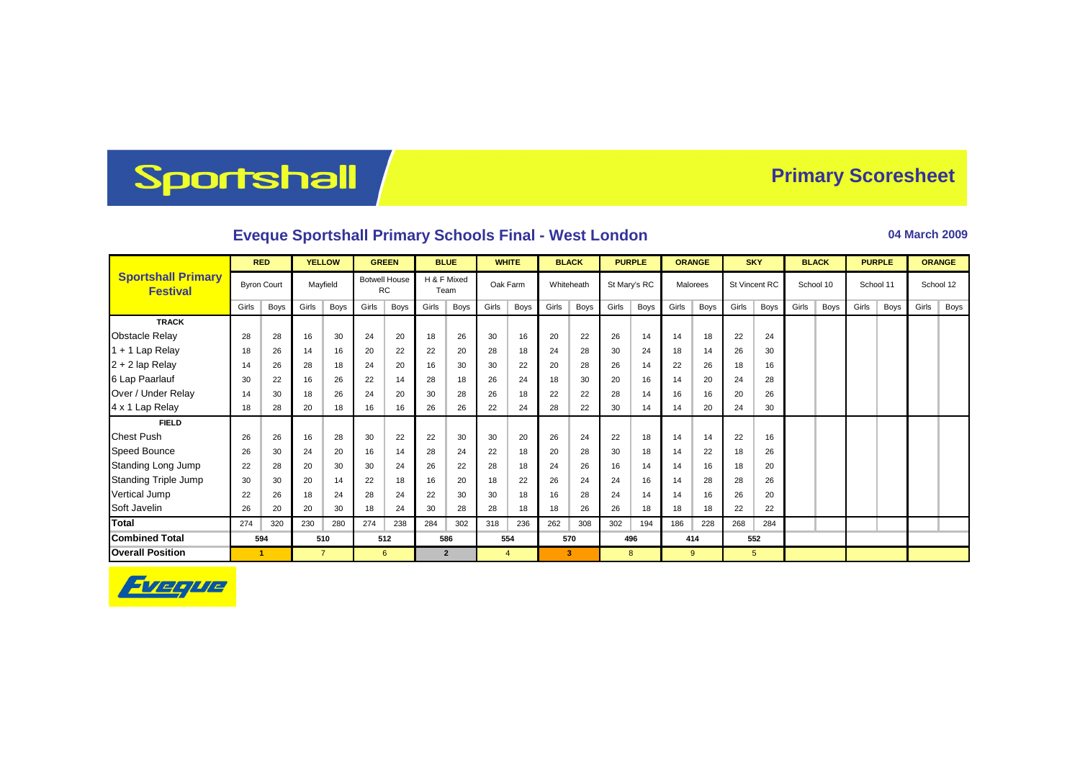## Sportshall

## **Primary Scoresheet**

## **Eveque Sportshall Primary Schools Final - West London 04 March 2009**

|                                              | <b>RED</b> |                    | <b>YELLOW</b> |                | <b>GREEN</b> |                                   | <b>BLUE</b> |                     | <b>WHITE</b> |                | <b>BLACK</b> |            | <b>PURPLE</b> |              | <b>ORANGE</b> |          | <b>SKY</b> |               | <b>BLACK</b> |           | <b>PURPLE</b> |           | <b>ORANGE</b> |           |
|----------------------------------------------|------------|--------------------|---------------|----------------|--------------|-----------------------------------|-------------|---------------------|--------------|----------------|--------------|------------|---------------|--------------|---------------|----------|------------|---------------|--------------|-----------|---------------|-----------|---------------|-----------|
| <b>Sportshall Primary</b><br><b>Festival</b> |            | <b>Byron Court</b> |               | Mayfield       |              | <b>Botwell House</b><br><b>RC</b> |             | H & F Mixed<br>Team |              | Oak Farm       |              | Whiteheath |               | St Mary's RC |               | Malorees |            | St Vincent RC |              | School 10 |               | School 11 |               | School 12 |
|                                              | Girls      | Boys               | Girls         | <b>Boys</b>    | Girls        | Boys                              | Girls       | Boys                | Girls        | Boys           | Girls        | Boys       | Girls         | <b>Boys</b>  | Girls         | Boys     | Girls      | Boys          | Girls        | Boys      | Girls         | Boys      | Girls         | Boys      |
| <b>TRACK</b>                                 |            |                    |               |                |              |                                   |             |                     |              |                |              |            |               |              |               |          |            |               |              |           |               |           |               |           |
| <b>Obstacle Relay</b>                        | 28         | 28                 | 16            | 30             | 24           | 20                                | 18          | 26                  | 30           | 16             | 20           | 22         | 26            | 14           | 14            | 18       | 22         | 24            |              |           |               |           |               |           |
| 1 + 1 Lap Relay                              | 18         | 26                 | 14            | 16             | 20           | 22                                | 22          | 20                  | 28           | 18             | 24           | 28         | 30            | 24           | 18            | 14       | 26         | 30            |              |           |               |           |               |           |
| $2 + 2$ lap Relay                            | 14         | 26                 | 28            | 18             | 24           | 20                                | 16          | 30                  | 30           | 22             | 20           | 28         | 26            | 14           | 22            | 26       | 18         | 16            |              |           |               |           |               |           |
| 6 Lap Paarlauf                               | 30         | 22                 | 16            | 26             | 22           | 14                                | 28          | 18                  | 26           | 24             | 18           | 30         | 20            | 16           | 14            | 20       | 24         | 28            |              |           |               |           |               |           |
| Over / Under Relay                           | 14         | 30                 | 18            | 26             | 24           | 20                                | 30          | 28                  | 26           | 18             | 22           | 22         | 28            | 14           | 16            | 16       | 20         | 26            |              |           |               |           |               |           |
| 4 x 1 Lap Relay                              | 18         | 28                 | 20            | 18             | 16           | 16                                | 26          | 26                  | 22           | 24             | 28           | 22         | 30            | 14           | 14            | 20       | 24         | 30            |              |           |               |           |               |           |
| <b>FIELD</b>                                 |            |                    |               |                |              |                                   |             |                     |              |                |              |            |               |              |               |          |            |               |              |           |               |           |               |           |
| <b>Chest Push</b>                            | 26         | 26                 | 16            | 28             | 30           | 22                                | 22          | 30                  | 30           | 20             | 26           | 24         | 22            | 18           | 14            | 14       | 22         | 16            |              |           |               |           |               |           |
| Speed Bounce                                 | 26         | 30                 | 24            | 20             | 16           | 14                                | 28          | 24                  | 22           | 18             | 20           | 28         | 30            | 18           | 14            | 22       | 18         | 26            |              |           |               |           |               |           |
| Standing Long Jump                           | 22         | 28                 | 20            | 30             | 30           | 24                                | 26          | 22                  | 28           | 18             | 24           | 26         | 16            | 14           | 14            | 16       | 18         | 20            |              |           |               |           |               |           |
| <b>Standing Triple Jump</b>                  | 30         | 30                 | 20            | 14             | 22           | 18                                | 16          | 20                  | 18           | 22             | 26           | 24         | 24            | 16           | 14            | 28       | 28         | 26            |              |           |               |           |               |           |
| <b>Vertical Jump</b>                         | 22         | 26                 | 18            | 24             | 28           | 24                                | 22          | 30                  | 30           | 18             | 16           | 28         | 24            | 14           | 14            | 16       | 26         | 20            |              |           |               |           |               |           |
| Soft Javelin                                 | 26         | 20                 | 20            | 30             | 18           | 24                                | 30          | 28                  | 28           | 18             | 18           | 26         | 26            | 18           | 18            | 18       | 22         | 22            |              |           |               |           |               |           |
| <b>Total</b>                                 | 274        | 320                | 230           | 280            | 274          | 238                               | 284         | 302                 | 318          | 236            | 262          | 308        | 302           | 194          | 186           | 228      | 268        | 284           |              |           |               |           |               |           |
| <b>Combined Total</b>                        |            | 594                |               | 510            |              | 512                               |             | 586                 |              | 554            |              | 570        |               | 496          |               | 414      |            | 552           |              |           |               |           |               |           |
| <b>Overall Position</b>                      |            | 1                  |               | $\overline{7}$ |              | 6                                 |             | $\overline{2}$      |              | $\overline{4}$ |              | 3          |               | 8            | $9^{\circ}$   |          | 5          |               |              |           |               |           |               |           |

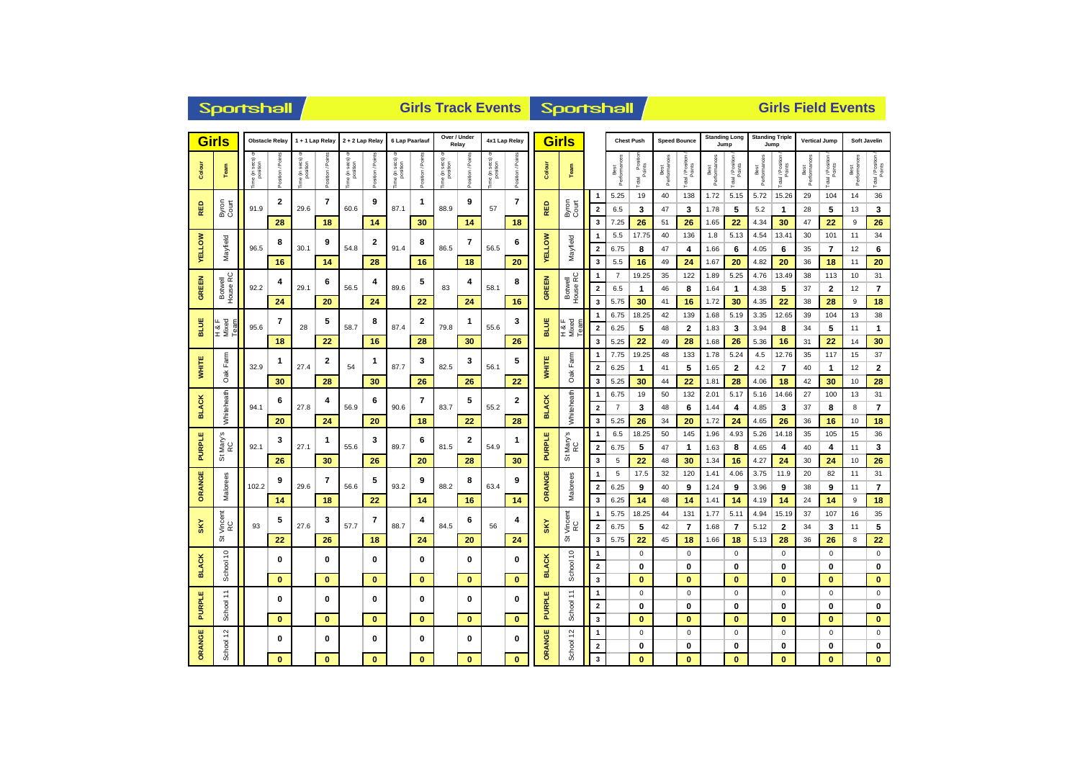|                     | <b>Sportshall</b>                     |                           |                |                          |                                           | <b>Girls Track Events</b> |                  |                |                  |                                   |                               |                             |                   |                                | Sportshall          |                                           |                        |                       |                     | <b>Girls Field Events</b> |                              |                                 |                                |                          |                      |                                |                    |                             |  |  |
|---------------------|---------------------------------------|---------------------------|----------------|--------------------------|-------------------------------------------|---------------------------|------------------|----------------|------------------|-----------------------------------|-------------------------------|-----------------------------|-------------------|--------------------------------|---------------------|-------------------------------------------|------------------------|-----------------------|---------------------|---------------------------|------------------------------|---------------------------------|--------------------------------|--------------------------|----------------------|--------------------------------|--------------------|-----------------------------|--|--|
|                     | <b>Girls</b><br><b>Obstacle Relay</b> |                           |                | 1 + 1 Lap Relay          |                                           | 2 + 2 Lap Relay           |                  | 6 Lap Paarlauf |                  | Over / Under<br>Relay             |                               | 4x1 Lap Relay               |                   | <b>Girls</b>                   |                     |                                           | <b>Chest Push</b>      |                       | <b>Speed Bounce</b> |                           | <b>Standing Long</b><br>Jump |                                 | <b>Standing Triple</b><br>Jump |                          | <b>Vertical Jump</b> |                                | Soft Javelin       |                             |  |  |
| Colour              | Team                                  | e (in secs) o<br>position | tion/Poin      | ne (in secs)<br>position | osition / Points                          | e (in secs)<br>position   | osition / Points | ime (in secs)  | Position / Point | sec s)<br>he (in secs<br>position | osition / Poin                | ime (in secs) o<br>position | Position / Points | Colour                         | Team                |                                           | Best<br>Performances   | Total Position        | Best<br>Performano  | Total / Position          | Best<br>Performances         | Total / Position                | Best<br>Performances           | Total / Position         | Best<br>Performances | Total / Position<br>Points     | Best<br>Performano | Total / Position            |  |  |
| RED                 | Byron<br>Court                        | 91.9                      | $\overline{2}$ | 29.6                     | 7                                         | 60.6                      | 9                | 87.1           | 1                | 88.9                              | 9                             | 57                          | 7                 | RED                            | Byron<br>Court      | $\mathbf{1}$<br>$\overline{2}$            | 5.25<br>6.5            | 19<br>3               | 40<br>47            | 138<br>3                  | 1.72<br>1.78                 | 5.15<br>5                       | 5.72<br>5.2                    | 15.26<br>$\mathbf{1}$    | 29<br>28             | 104<br>5                       | 14<br>13           | 36<br>$\mathbf{3}$          |  |  |
|                     |                                       |                           | 28<br>8        |                          | 18<br>9                                   |                           | 14<br>2          |                | 30<br>8          |                                   | 14<br>$\overline{\mathbf{r}}$ |                             | 18<br>6           |                                |                     | $\overline{\mathbf{3}}$<br>$\mathbf{1}$   | 7.25<br>5.5            | 26<br>17.75           | 51<br>40            | 26<br>136                 | 1.65<br>1.8                  | 22<br>5.13                      | 4.34<br>4.54                   | 30<br>13.41              | 47<br>30             | 22<br>101                      | 9<br>11            | 26<br>34                    |  |  |
| <b>VELLOW</b>       | Mayfield                              | 96.5                      | 16             | 30.1                     | 14                                        | 54.8                      | 28               | 91.4           | 16               | 86.5                              | 18                            | 56.5                        | 20                | <b>YELLOW</b>                  | Mayfield            | $\overline{2}$<br>3                       | 6.75<br>5.5            | 8<br>16               | 47<br>49            | 4<br>24                   | 1.66<br>1.67                 | 6<br>20                         | 4.05<br>4.82                   | 6<br>20                  | 35<br>36             | $\overline{\phantom{a}}$<br>18 | 12<br>11           | 6<br>20                     |  |  |
| <b>GREEN</b>        | Botwell<br>House RC                   | 92.2                      | 4              | 29.1                     | 6<br>20                                   | 56.5                      | 4                | 89.6           | 5                | 83                                | 4                             | 58.1                        | 8                 | GREEN                          | Botwell<br>House RC | 1<br>$\overline{2}$                       | $\overline{7}$<br>6.5  | 19.25<br>$\mathbf{1}$ | 35<br>46            | 122<br>8                  | 1.89<br>1.64                 | 5.25<br>$\mathbf{1}$            | 4.76<br>4.38                   | 13.49<br>5               | 38<br>37             | 113<br>2                       | 10<br>12           | 31<br>$\bf 7$               |  |  |
|                     |                                       |                           | 24             |                          |                                           |                           | 24               |                | 22               |                                   | 24                            |                             | 16                |                                |                     | $\overline{\mathbf{3}}$                   | 5.75                   | 30                    | 41                  | 16                        | 1.72                         | 30                              | 4.35                           | 22                       | 38                   | 28                             | 9                  | 18                          |  |  |
| BLUE                | H & F<br>Mixed<br>Team                | 95.6                      | 7              | 28                       | 5<br>22                                   | 58.7                      | 8                | 87.4           | 2                | 79.8                              | 1                             | 55.6                        | 3                 | BLUE                           | H & F<br>Mixed<br>å | $\mathbf{1}$<br>$\overline{\mathbf{2}}$   | 6.75<br>6.25           | 18.25<br>5            | 42<br>48            | 139<br>$\overline{2}$     | 1.68<br>1.83                 | 5.19<br>3                       | 3.35<br>3.94                   | 12.65<br>8               | 39<br>34             | 104<br>5                       | 13<br>11           | 38<br>$\mathbf{1}$          |  |  |
|                     |                                       |                           | 18             |                          |                                           | 16                        |                  | 28             |                  | 30                                |                               | 26                          |                   |                                | 3                   | 5.25                                      | 22                     | 49                    | 28                  | 1.68                      | 26                           | 5.36                            | 16                             | 31                       | 22                   | 14                             | 30                 |                             |  |  |
| <b>WHITE</b>        | Farm                                  | 32.9                      | 1              | 27.4                     | 2                                         | 54                        | 1                | 87.7           | 3                | 82.5                              | 3                             | 56.1                        | 5                 | <b>WHITE</b>                   | Farm                | $\mathbf{1}$<br>$\overline{\mathbf{2}}$   | 7.75<br>6.25           | 19.25<br>$\mathbf{1}$ | 48<br>41            | 133<br>5                  | 1.78<br>1.65                 | 5.24<br>$\overline{\mathbf{2}}$ | 4.5<br>4.2                     | 12.76<br>$\overline{7}$  | 35<br>40             | 117<br>$\mathbf{1}$            | 15<br>12           | 37<br>$\bf{2}$              |  |  |
|                     | Oak                                   |                           | 30             |                          | 28                                        |                           | 30               |                | 26               |                                   | 26                            |                             | 22                |                                | Oak                 | 3                                         | 5.25                   | 30                    | 44                  | 22                        | 1.81                         | 28                              | 4.06                           | 18                       | 42                   | 30                             | 10                 | 28                          |  |  |
| <b>BLACK</b>        | Whiteheath                            | 94.1                      | 6              | 27.8                     | 4                                         | 56.9                      | 6<br>90.6        |                | 7                | 83.7                              | 5                             | 55.2                        | 2                 | <b>BLACK</b>                   | Whiteheath          | $\mathbf{1}$<br>$\overline{2}$            | 6.75<br>$\overline{7}$ | 19<br>3               | 50<br>48            | 132<br>6                  | 2.01<br>1.44                 | 5.17<br>4                       | 5.16<br>4.85                   | 14.66<br>3               | 27<br>37             | 100<br>8                       | 13<br>8            | 31<br>$\bf 7$               |  |  |
|                     |                                       |                           | 20             |                          | 24                                        |                           | 20               |                | 18               |                                   | 22                            |                             | 28                |                                |                     | 3                                         | 5.25                   | 26                    | 34                  | 20                        | 1.72                         | 24                              | 4.65                           | 26                       | 36                   | 16                             | 10                 | 18                          |  |  |
| <b>PURPLE</b>       | Mary's<br>RC                          | 92.1                      | 3              | 27.1                     | 1<br>30                                   | 3<br>55.6                 |                  | 89.7           | 6                | 2<br>81.5                         |                               | 54.9                        | 1                 | <b>PURPLE</b>                  | Mary's<br>RC<br>ö   | $\overline{1}$<br>$\overline{\mathbf{2}}$ | 6.5<br>6.75            | 18.25<br>5            | 50<br>47            | 145<br>$\mathbf{1}$       | 1.96<br>1.63                 | 4.93<br>8                       | 5.26<br>4.65                   | 14.18<br>4               | 35<br>40             | 105<br>4                       | 15<br>11           | 36<br>3                     |  |  |
|                     | の                                     |                           | 26             |                          |                                           |                           | 26               |                | 20               |                                   | 28                            |                             | 30                |                                |                     | $\overline{\mathbf{3}}$                   | 5                      | 22                    | 48                  | 30                        | 1.34                         | 16                              | 4.27                           | 24                       | 30                   | 24                             | 10                 | 26                          |  |  |
|                     |                                       |                           | 9              |                          | 7                                         |                           | 5                |                | 9                |                                   | 8                             |                             | 9                 |                                |                     | 1                                         | 5                      | 17.5                  | 32                  | 120                       | 1.41                         | 4.06                            | 3.75                           | 11.9                     | 20                   | 82                             | 11                 | 31                          |  |  |
| ORANGE              | Malorees                              | 102.2                     |                | 29.6                     |                                           | 56.6                      |                  | 93.2           |                  | 88.2                              |                               | 63.4                        |                   | ORANGE                         | Malorees            | $\overline{\mathbf{2}}$                   | 6.25                   | 9                     | 40                  | 9                         | 1.24                         | 9                               | 3.96                           | 9                        | 38                   | 9                              | 11                 | $\overline{\mathbf{r}}$     |  |  |
|                     |                                       |                           | 14             |                          | 18                                        |                           | 22               |                | 14               |                                   | 16                            |                             | 14                |                                |                     | $\overline{\mathbf{3}}$                   | 6.25                   | 14                    | 48                  | 14                        | 1.41                         | 14                              | 4.19                           | 14                       | 24                   | 14                             | 9                  | 18                          |  |  |
| SKY                 | Vincent<br>RC                         | 93                        | 5              | 27.6                     | 3                                         | 57.7                      | 7                | 88.7           | 4                | 84.5                              | 6                             | 56                          | 4                 | SKY                            | Vincent<br>RC       | $\overline{1}$<br>$\overline{\mathbf{2}}$ | 5.75<br>6.75           | 18.25<br>5            | 44<br>42            | 131<br>$\overline{7}$     | 1.77<br>1.68                 | 5.11<br>$\overline{7}$          | 4.94<br>5.12                   | 15.19<br>$\mathbf{2}$    | 37<br>34             | 107<br>3                       | 16<br>11           | 35<br>5                     |  |  |
|                     | 5                                     |                           | 22             |                          | 26                                        |                           | 18               |                | 24               |                                   | 20                            |                             | 24                |                                | ö                   | $\overline{\mathbf{3}}$                   | 5.75                   | 22                    | 45                  | 18                        | 1.66                         | 18                              | 5.13                           | 28                       | 36                   | 26                             | 8                  | 22                          |  |  |
|                     |                                       |                           | 0              |                          | 0                                         |                           | 0                |                | 0                |                                   | 0                             |                             | 0                 |                                |                     | $\mathbf{1}$                              |                        | $\mathbf 0$           |                     | $\mathsf 0$               |                              | $\mathbf 0$                     |                                | $\mathbf 0$              |                      | $\mathbf 0$                    |                    | $\mathsf 0$                 |  |  |
| <b>BLACK</b>        | School 10                             |                           | $\bf{0}$       |                          | $\bf{0}$                                  |                           | $\bf{0}$         |                | $\bf{0}$         |                                   | $\mathbf{0}$                  |                             | $\bf{0}$          | <b>BLACK</b>                   | School 10           | $\overline{2}$<br>3                       |                        | 0<br>$\bf{0}$         |                     | $\bf{0}$<br>$\bf{0}$      |                              | 0<br>$\bf{0}$                   |                                | $\mathbf{0}$<br>$\bf{0}$ |                      | $\bf{0}$<br>$\bf{0}$           |                    | $\mathbf 0$<br>$\mathbf{0}$ |  |  |
| щ                   | H                                     |                           |                |                          |                                           |                           |                  |                |                  |                                   |                               |                             |                   |                                | ÷.                  | $\mathbf{1}$                              |                        | $\mathsf 0$           |                     | $\mathbf 0$               |                              | $\pmb{0}$                       |                                | $\pmb{0}$                |                      | $\mathsf 0$                    |                    | $\pmb{0}$                   |  |  |
| PURPLI              | School                                |                           | 0              |                          | $\bf{0}$<br>0<br>$\bf{0}$<br>$\mathbf{0}$ |                           |                  |                | $\bf{0}$         |                                   | 0                             |                             | 0                 | <b>PURPLE</b>                  | School              | $\mathbf 2$                               |                        | $\mathbf 0$           |                     | $\bf{0}$                  |                              | 0                               |                                | $\mathbf 0$              |                      | 0                              |                    | 0                           |  |  |
|                     |                                       |                           | $\bf{0}$       |                          |                                           |                           | $\bf{0}$         |                | $\mathbf{0}$     |                                   | $\mathbf{0}$                  |                             |                   | $\mathbf{3}$                   |                     | $\bf{0}$                                  |                        | $\mathbf{0}$          |                     | $\bf{0}$                  |                              | $\mathbf{0}$                    |                                | $\bf{0}$                 |                      | $\mathbf{0}$                   |                    |                             |  |  |
|                     |                                       |                           | 0              |                          | $\bf{0}$                                  |                           | 0                |                | $\bf{0}$         |                                   | 0                             |                             | 0                 |                                |                     | 1                                         |                        | $\mathbf 0$           |                     | $\mathbf 0$               |                              | $\mathbf 0$                     |                                | $\mathbf 0$              |                      | $\mathbf 0$                    |                    | $\mathbf 0$                 |  |  |
| ORANGE<br>School 12 |                                       |                           | $\bf{0}$       |                          | $\bf{0}$<br>$\bf{0}$                      |                           | $\bf{0}$         |                | $\bf{0}$         |                                   | $\bf{0}$                      | ORANGE                      | School 12         | $\overline{2}$<br>$\mathbf{3}$ |                     | 0<br>$\mathbf{0}$                         |                        | $\bf{0}$<br>$\bf{0}$  |                     | 0<br>$\bf{0}$             |                              | $\mathbf 0$<br>$\mathbf{0}$     |                                | $\bf{0}$<br>$\bf{0}$     |                      | $\mathbf 0$<br>$\mathbf{0}$    |                    |                             |  |  |